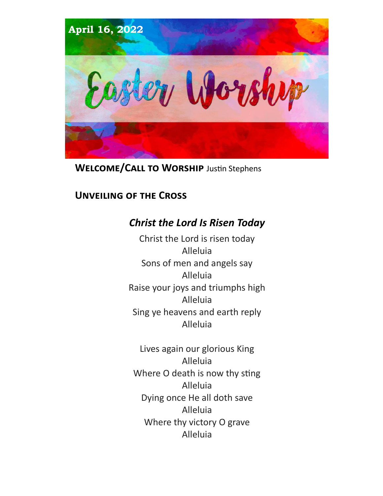

**Welcome/Call to Worship** Justin Stephens

## **Unveiling of the Cross**

# *Christ the Lord Is Risen Today*

Christ the Lord is risen today Alleluia Sons of men and angels say Alleluia Raise your joys and triumphs high Alleluia Sing ye heavens and earth reply Alleluia

Lives again our glorious King Alleluia Where O death is now thy sting Alleluia Dying once He all doth save Alleluia Where thy victory O grave Alleluia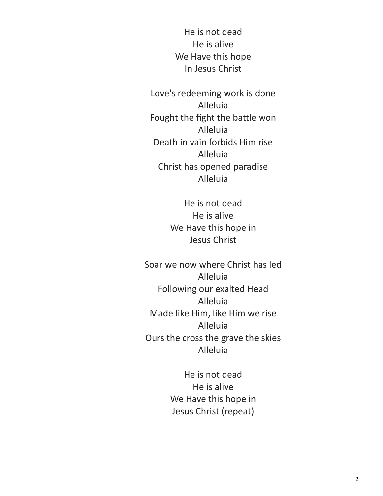He is not dead He is alive We Have this hope In Jesus Christ

Love's redeeming work is done Alleluia Fought the fight the battle won Alleluia Death in vain forbids Him rise Alleluia Christ has opened paradise Alleluia

> He is not dead He is alive We Have this hope in Jesus Christ

Soar we now where Christ has led Alleluia Following our exalted Head Alleluia Made like Him, like Him we rise Alleluia Ours the cross the grave the skies Alleluia

> He is not dead He is alive We Have this hope in Jesus Christ (repeat)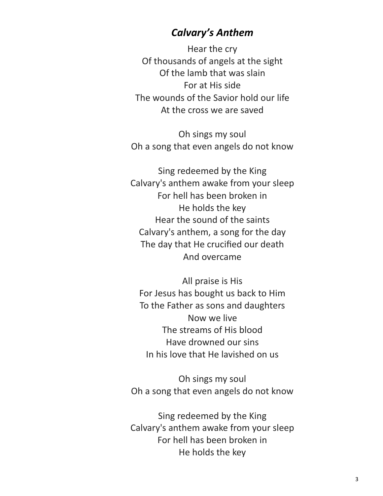#### *Calvary's Anthem*

Hear the cry Of thousands of angels at the sight Of the lamb that was slain For at His side The wounds of the Savior hold our life At the cross we are saved

Oh sings my soul Oh a song that even angels do not know

Sing redeemed by the King Calvary's anthem awake from your sleep For hell has been broken in He holds the key Hear the sound of the saints Calvary's anthem, a song for the day The day that He crucified our death And overcame

All praise is His For Jesus has bought us back to Him To the Father as sons and daughters Now we live The streams of His blood Have drowned our sins In his love that He lavished on us

Oh sings my soul Oh a song that even angels do not know

Sing redeemed by the King Calvary's anthem awake from your sleep For hell has been broken in He holds the key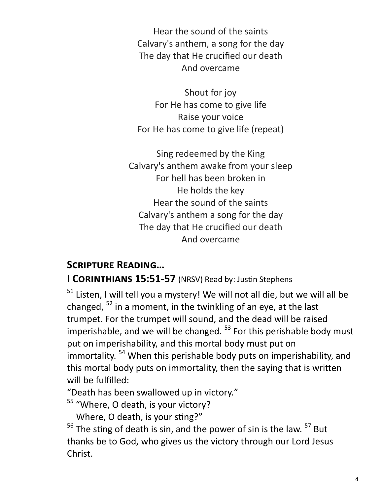Hear the sound of the saints Calvary's anthem, a song for the day The day that He crucified our death And overcame

Shout for joy For He has come to give life Raise your voice For He has come to give life (repeat)

Sing redeemed by the King Calvary's anthem awake from your sleep For hell has been broken in He holds the key Hear the sound of the saints Calvary's anthem a song for the day The day that He crucified our death And overcame

## **Scripture Reading…**

**I Corinthians 15:51-57** (NRSV) Read by: Justin Stephens

 $51$  Listen, I will tell you a mystery! We will not all die, but we will all be changed,  $52$  in a moment, in the twinkling of an eye, at the last trumpet. For the trumpet will sound, and the dead will be raised imperishable, and we will be changed.<sup>53</sup> For this perishable body must put on imperishability, and this mortal body must put on immortality.<sup>54</sup> When this perishable body puts on imperishability, and this mortal body puts on immortality, then the saying that is written will be fulfilled:

"Death has been swallowed up in victory."

<sup>55</sup> "Where, O death, is your victory?

Where, O death, is your sting?"

 $56$  The sting of death is sin, and the power of sin is the law.  $57$  But thanks be to God, who gives us the victory through our Lord Jesus Christ.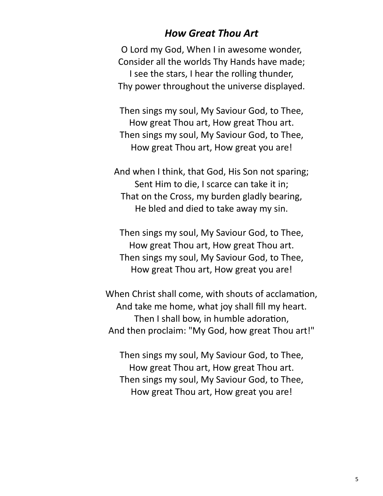## *How Great Thou Art*

O Lord my God, When I in awesome wonder, Consider all the worlds Thy Hands have made; I see the stars, I hear the rolling thunder, Thy power throughout the universe displayed.

Then sings my soul, My Saviour God, to Thee, How great Thou art, How great Thou art. Then sings my soul, My Saviour God, to Thee, How great Thou art, How great you are!

And when I think, that God, His Son not sparing; Sent Him to die, I scarce can take it in; That on the Cross, my burden gladly bearing, He bled and died to take away my sin.

Then sings my soul, My Saviour God, to Thee, How great Thou art, How great Thou art. Then sings my soul, My Saviour God, to Thee, How great Thou art, How great you are!

When Christ shall come, with shouts of acclamation, And take me home, what joy shall fill my heart. Then I shall bow, in humble adoration, And then proclaim: "My God, how great Thou art!"

Then sings my soul, My Saviour God, to Thee, How great Thou art, How great Thou art. Then sings my soul, My Saviour God, to Thee, How great Thou art, How great you are!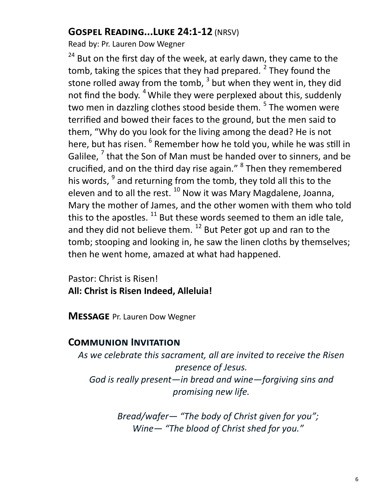### **Gospel Reading...Luke 24:1-12** (NRSV)

Read by: Pr. Lauren Dow Wegner

 $24$  But on the first day of the week, at early dawn, they came to the tomb, taking the spices that they had prepared. <sup>2</sup> They found the stone rolled away from the tomb, <sup>3</sup> but when they went in, they did not find the body. <sup>4</sup> While they were perplexed about this, suddenly two men in dazzling clothes stood beside them. <sup>5</sup> The women were terrified and bowed their faces to the ground, but the men said to them, "Why do you look for the living among the dead? He is not here, but has risen. <sup>6</sup> Remember how he told you, while he was still in Galilee,  $^7$  that the Son of Man must be handed over to sinners, and be crucified, and on the third day rise again." <sup>8</sup> Then they remembered his words, <sup>9</sup> and returning from the tomb, they told all this to the eleven and to all the rest.  $^{10}$  Now it was Mary Magdalene, Joanna, Mary the mother of James, and the other women with them who told this to the apostles.  $^{11}$  But these words seemed to them an idle tale, and they did not believe them.  $^{12}$  But Peter got up and ran to the tomb; stooping and looking in, he saw the linen cloths by themselves; then he went home, amazed at what had happened.

Pastor: Christ is Risen! **All: Christ is Risen Indeed, Alleluia!**

**Message** Pr. Lauren Dow Wegner

## **Communion Invitation**

*As we celebrate this sacrament, all are invited to receive the Risen presence of Jesus. God is really present—in bread and wine—forgiving sins and promising new life.* 

> *Bread/wafer— "The body of Christ given for you"; Wine— "The blood of Christ shed for you."*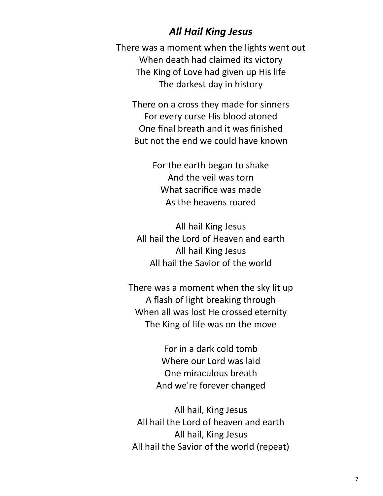#### *All Hail King Jesus*

There was a moment when the lights went out When death had claimed its victory The King of Love had given up His life The darkest day in history

There on a cross they made for sinners For every curse His blood atoned One final breath and it was finished But not the end we could have known

> For the earth began to shake And the veil was torn What sacrifice was made As the heavens roared

All hail King Jesus All hail the Lord of Heaven and earth All hail King Jesus All hail the Savior of the world

There was a moment when the sky lit up A flash of light breaking through When all was lost He crossed eternity The King of life was on the move

> For in a dark cold tomb Where our Lord was laid One miraculous breath And we're forever changed

All hail, King Jesus All hail the Lord of heaven and earth All hail, King Jesus All hail the Savior of the world (repeat)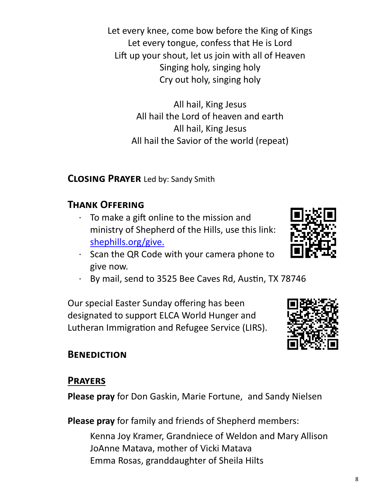8

Let every knee, come bow before the King of Kings Let every tongue, confess that He is Lord Lift up your shout, let us join with all of Heaven Singing holy, singing holy Cry out holy, singing holy

> All hail, King Jesus All hail the Lord of heaven and earth All hail, King Jesus All hail the Savior of the world (repeat)

**Closing Prayer** Led by: Sandy Smith

# **Thank Offering**

- To make a gift online to the mission and ministry of Shepherd of the Hills, use this link: [shephills.org/give.](https://shephills.org/give/)
- · Scan the QR Code with your camera phone to give now.
- · By mail, send to 3525 Bee Caves Rd, Austin, TX 78746

Our special Easter Sunday offering has been designated to support ELCA World Hunger and Lutheran Immigration and Refugee Service (LIRS).

## **Benediction**

## **Prayers**

**Please pray** for Don Gaskin, Marie Fortune, and Sandy Nielsen

**Please pray** for family and friends of Shepherd members:

Kenna Joy Kramer, Grandniece of Weldon and Mary Allison JoAnne Matava, mother of Vicki Matava Emma Rosas, granddaughter of Sheila Hilts



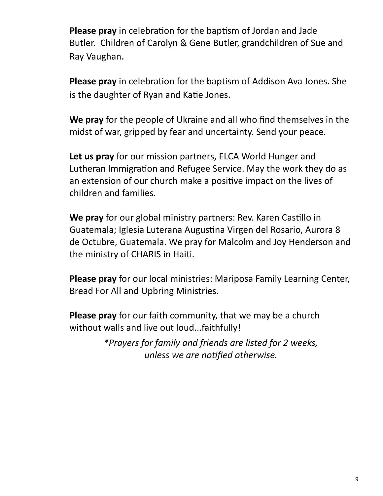**Please pray** in celebration for the baptism of Jordan and Jade Butler. Children of Carolyn & Gene Butler, grandchildren of Sue and Ray Vaughan.

**Please pray** in celebration for the baptism of Addison Ava Jones. She is the daughter of Ryan and Katie Jones.

**We pray** for the people of Ukraine and all who find themselves in the midst of war, gripped by fear and uncertainty. Send your peace.

**Let us pray** for our mission partners, ELCA World Hunger and Lutheran Immigration and Refugee Service. May the work they do as an extension of our church make a positive impact on the lives of children and families.

**We pray** for our global ministry partners: Rev. Karen Castillo in Guatemala; Iglesia Luterana Augustina Virgen del Rosario, Aurora 8 de Octubre, Guatemala. We pray for Malcolm and Joy Henderson and the ministry of CHARIS in Haiti.

**Please pray** for our local ministries: Mariposa Family Learning Center, Bread For All and Upbring Ministries.

**Please pray** for our faith community, that we may be a church without walls and live out loud...faithfully!

> *\*Prayers for family and friends are listed for 2 weeks, unless we are notified otherwise.*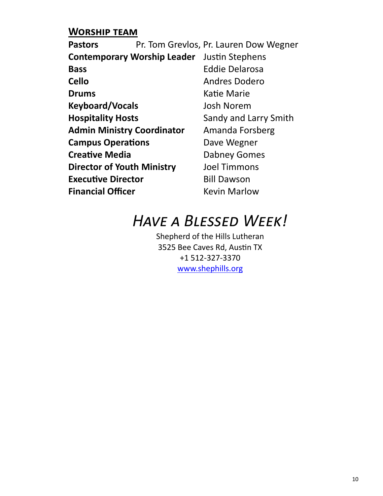#### **Worship team**

Pastors Pr. Tom Grevlos, Pr. Lauren Dow Wegner **Contemporary Worship Leader** Justin Stephens **Bass** Eddie Delarosa **Cello** Andres Dodero **Drums** Katie Marie **Keyboard/Vocals** Josh Norem **Hospitality Hosts** Sandy and Larry Smith **Admin Ministry Coordinator** Amanda Forsberg **Campus Operations** Dave Wegner **Creative Media** Dabney Gomes **Director of Youth Ministry** Joel Timmons **Executive Director** Bill Dawson **Financial Officer** Kevin Marlow

# *Have a Blessed Week!*

Shepherd of the Hills Lutheran 3525 Bee Caves Rd, Austin TX +1 512-327-3370 [www.shephills.org](http://www.shephills.org)